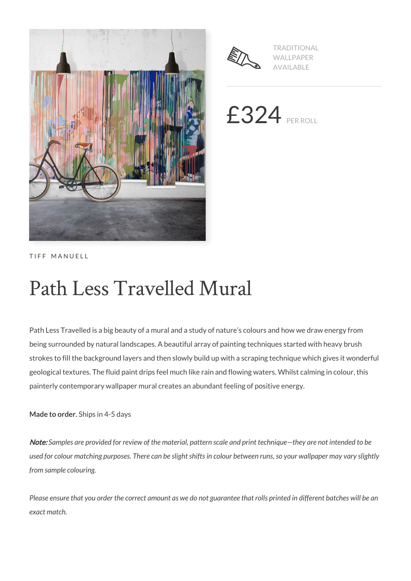



TRADITIONAL WALLPAPER AVAILABLE

 $£324$  PER ROLL

TIFF MANUELL

# Path Less Travelled Mural

Path Less Travelled is a big beauty of a mural and a study of nature's colours and how we draw energy from being surrounded by natural landscapes. A beautiful array of painting techniques started with heavy brush strokes to fill the background layers and then slowly build up with a scraping technique which gives it wonderful geological textures. The fluid paint drips feel much like rain and flowing waters. Whilst calming in colour, this painterly contemporary wallpaper mural creates an abundant feeling of positive energy.

**Made to order.** Ships in 4-5 days

Note: *Samples are provided for review of the material, pattern scale and print technique—they are not intended to be used for colour matching purposes. There can be slight shifts in colour between runs, so your wallpaper may vary slightly from sample colouring.*

*Please ensure that you order the correct amount as we do not guarantee that rolls printed in different batches will be an exact match.*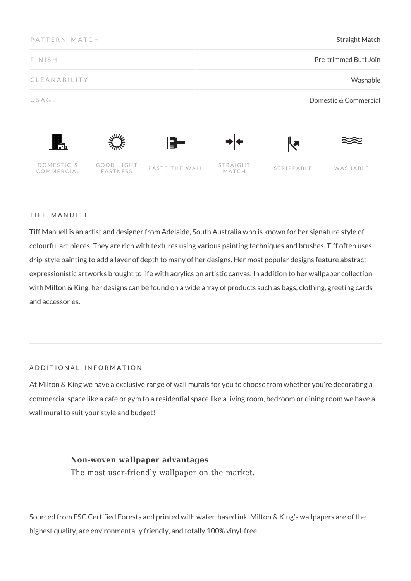| PATTERN MATCH<br><b>FINISH</b> |                        |                | <b>Straight Match</b><br>Pre-trimmed Butt Join |            |          |
|--------------------------------|------------------------|----------------|------------------------------------------------|------------|----------|
|                                |                        |                |                                                |            |          |
| USAGE                          |                        |                | Domestic & Commercial                          |            |          |
| Ħ.                             |                        | ▌▌             |                                                | k.         |          |
| DOMESTIC &<br>COMMERCIAL       | GOOD LIGHT<br>FASTNESS | PASTE THE WALL | <b>STRAIGHT</b><br>MATCH                       | STRIPPABLE | WASHABLE |

### TIFF MANUELL

Tiff Manuell is an artist and designer from Adelaide, South Australia who is known for her signature style of colourful art pieces. They are rich with textures using various painting techniques and brushes. Tiff often uses drip-style painting to add a layer of depth to many of her designs. Her most popular designs feature abstract expressionistic artworks brought to life with acrylics on artistic canvas. In addition to her wallpaper collection with Milton & King, her designs can be found on a wide array of products such as bags, clothing, greeting cards and accessories.

# ADDITIONAL INFORMATION

At Milton & King we have a exclusive range of wall murals for you to choose from whether you're decorating a commercial space like a cafe or gym to a residential space like a living room, bedroom or dining room we have a wall mural to suit your style and budget!

### **Non-woven wallpaper advantages**

The most user-friendly wallpaper on the market.

Sourced from FSC Certified Forests and printed with water-based ink. Milton & King's wallpapers are of the highest quality, are environmentally friendly, and totally 100% vinyl-free.